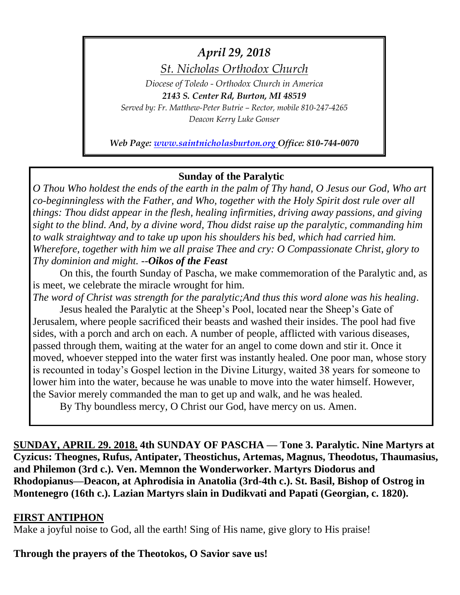*April 29, 2018*

*St. Nicholas Orthodox Church*

*Diocese of Toledo - Orthodox Church in America 2143 S. Center Rd, Burton, MI 48519 Served by: Fr. Matthew-Peter Butrie – Rector, mobile 810-247-4265 Deacon Kerry Luke Gonser*

*Web Page: [www.saintnicholasburton.org](http://www.saintnicholasburton.org/) Office: 810-744-0070*

## **Sunday of the Paralytic**

*O Thou Who holdest the ends of the earth in the palm of Thy hand, O Jesus our God, Who art co-beginningless with the Father, and Who, together with the Holy Spirit dost rule over all things: Thou didst appear in the flesh, healing infirmities, driving away passions, and giving sight to the blind. And, by a divine word, Thou didst raise up the paralytic, commanding him to walk straightway and to take up upon his shoulders his bed, which had carried him. Wherefore, together with him we all praise Thee and cry: O Compassionate Christ, glory to Thy dominion and might. --Oikos of the Feast*

On this, the fourth Sunday of Pascha, we make commemoration of the Paralytic and, as is meet, we celebrate the miracle wrought for him.

*The word of Christ was strength for the paralytic;And thus this word alone was his healing.* Jesus healed the Paralytic at the Sheep's Pool, located near the Sheep's Gate of Jerusalem, where people sacrificed their beasts and washed their insides. The pool had five sides, with a porch and arch on each. A number of people, afflicted with various diseases, passed through them, waiting at the water for an angel to come down and stir it. Once it moved, whoever stepped into the water first was instantly healed. One poor man, whose story is recounted in today's Gospel lection in the Divine Liturgy, waited 38 years for someone to lower him into the water, because he was unable to move into the water himself. However, the Savior merely commanded the man to get up and walk, and he was healed.

By Thy boundless mercy, O Christ our God, have mercy on us. Amen.

**SUNDAY, APRIL 29. 2018. 4th SUNDAY OF PASCHA — Tone 3. Paralytic. Nine Martyrs at Cyzicus: Theognes, Rufus, Antipater, Theostichus, Artemas, Magnus, Theodotus, Thaumasius, and Philemon (3rd c.). Ven. Memnon the Wonderworker. Martyrs Diodorus and Rhodopianus—Deacon, at Aphrodisia in Anatolia (3rd-4th c.). St. Basil, Bishop of Ostrog in Montenegro (16th c.). Lazian Martyrs slain in Dudikvati and Papati (Georgian, c. 1820).** 

#### **FIRST ANTIPHON**

Make a joyful noise to God, all the earth! Sing of His name, give glory to His praise!

**Through the prayers of the Theotokos, O Savior save us!**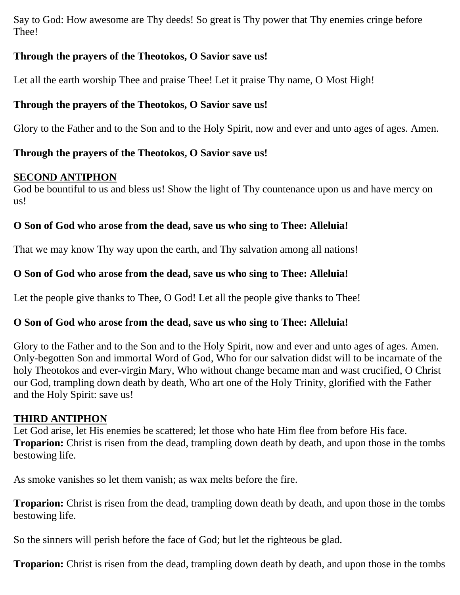Say to God: How awesome are Thy deeds! So great is Thy power that Thy enemies cringe before Thee!

## **Through the prayers of the Theotokos, O Savior save us!**

Let all the earth worship Thee and praise Thee! Let it praise Thy name, O Most High!

# **Through the prayers of the Theotokos, O Savior save us!**

Glory to the Father and to the Son and to the Holy Spirit, now and ever and unto ages of ages. Amen.

# **Through the prayers of the Theotokos, O Savior save us!**

## **SECOND ANTIPHON**

God be bountiful to us and bless us! Show the light of Thy countenance upon us and have mercy on us!

# **O Son of God who arose from the dead, save us who sing to Thee: Alleluia!**

That we may know Thy way upon the earth, and Thy salvation among all nations!

# **O Son of God who arose from the dead, save us who sing to Thee: Alleluia!**

Let the people give thanks to Thee, O God! Let all the people give thanks to Thee!

#### **O Son of God who arose from the dead, save us who sing to Thee: Alleluia!**

Glory to the Father and to the Son and to the Holy Spirit, now and ever and unto ages of ages. Amen. Only-begotten Son and immortal Word of God, Who for our salvation didst will to be incarnate of the holy Theotokos and ever-virgin Mary, Who without change became man and wast crucified, O Christ our God, trampling down death by death, Who art one of the Holy Trinity, glorified with the Father and the Holy Spirit: save us!

#### **THIRD ANTIPHON**

Let God arise, let His enemies be scattered; let those who hate Him flee from before His face. **Troparion:** Christ is risen from the dead, trampling down death by death, and upon those in the tombs bestowing life.

As smoke vanishes so let them vanish; as wax melts before the fire.

**Troparion:** Christ is risen from the dead, trampling down death by death, and upon those in the tombs bestowing life.

So the sinners will perish before the face of God; but let the righteous be glad.

**Troparion:** Christ is risen from the dead, trampling down death by death, and upon those in the tombs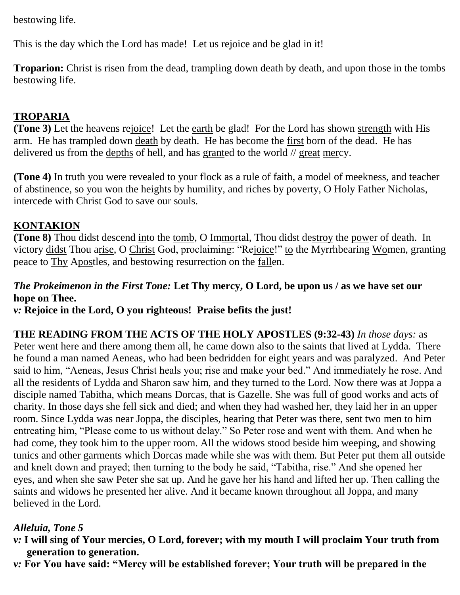bestowing life.

This is the day which the Lord has made! Let us rejoice and be glad in it!

**Troparion:** Christ is risen from the dead, trampling down death by death, and upon those in the tombs bestowing life.

# **TROPARIA**

(Tone 3) Let the heavens rejoice! Let the earth be glad! For the Lord has shown strength with His arm. He has trampled down death by death. He has become the first born of the dead. He has delivered us from the depths of hell, and has granted to the world // great mercy.

**(Tone 4)** In truth you were revealed to your flock as a rule of faith, a model of meekness, and teacher of abstinence, so you won the heights by humility, and riches by poverty, O Holy Father Nicholas, intercede with Christ God to save our souls.

## **KONTAKION**

**(Tone 8)** Thou didst descend into the tomb, O Immortal, Thou didst destroy the power of death. In victory didst Thou arise, O Christ God, proclaiming: "Rejoice!" to the Myrrhbearing Women, granting peace to Thy Apostles, and bestowing resurrection on the fallen.

## *The Prokeimenon in the First Tone:* **Let Thy mercy, O Lord, be upon us / as we have set our hope on Thee.**

*v:* **Rejoice in the Lord, O you righteous! Praise befits the just!**

**THE READING FROM THE ACTS OF THE HOLY APOSTLES (9:32-43)** *In those days:* as Peter went here and there among them all, he came down also to the saints that lived at Lydda. There he found a man named Aeneas, who had been bedridden for eight years and was paralyzed. And Peter said to him, "Aeneas, Jesus Christ heals you; rise and make your bed." And immediately he rose. And all the residents of Lydda and Sharon saw him, and they turned to the Lord. Now there was at Joppa a disciple named Tabitha, which means Dorcas, that is Gazelle. She was full of good works and acts of charity. In those days she fell sick and died; and when they had washed her, they laid her in an upper room. Since Lydda was near Joppa, the disciples, hearing that Peter was there, sent two men to him entreating him, "Please come to us without delay." So Peter rose and went with them. And when he had come, they took him to the upper room. All the widows stood beside him weeping, and showing tunics and other garments which Dorcas made while she was with them. But Peter put them all outside and knelt down and prayed; then turning to the body he said, "Tabitha, rise." And she opened her eyes, and when she saw Peter she sat up. And he gave her his hand and lifted her up. Then calling the saints and widows he presented her alive. And it became known throughout all Joppa, and many believed in the Lord.

#### *Alleluia, Tone 5*

- *v:* **I will sing of Your mercies, O Lord, forever; with my mouth I will proclaim Your truth from generation to generation.**
- *v:* **For You have said: "Mercy will be established forever; Your truth will be prepared in the**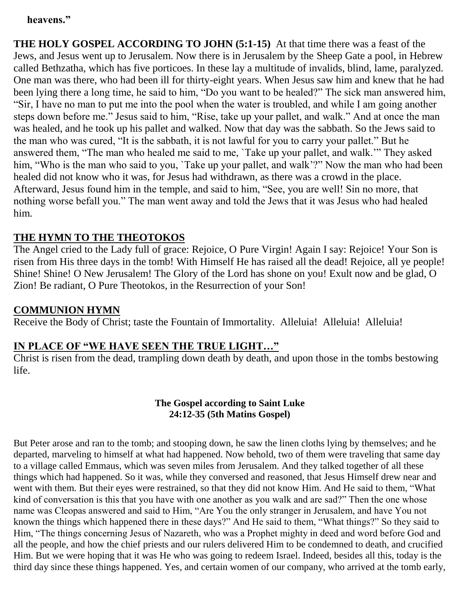#### **heavens."**

**THE HOLY GOSPEL ACCORDING TO JOHN (5:1-15)** At that time there was a feast of the Jews, and Jesus went up to Jerusalem. Now there is in Jerusalem by the Sheep Gate a pool, in Hebrew called Bethzatha, which has five porticoes. In these lay a multitude of invalids, blind, lame, paralyzed. One man was there, who had been ill for thirty-eight years. When Jesus saw him and knew that he had been lying there a long time, he said to him, "Do you want to be healed?" The sick man answered him, "Sir, I have no man to put me into the pool when the water is troubled, and while I am going another steps down before me." Jesus said to him, "Rise, take up your pallet, and walk." And at once the man was healed, and he took up his pallet and walked. Now that day was the sabbath. So the Jews said to the man who was cured, "It is the sabbath, it is not lawful for you to carry your pallet." But he answered them, "The man who healed me said to me, `Take up your pallet, and walk.'" They asked him, "Who is the man who said to you, `Take up your pallet, and walk'?" Now the man who had been healed did not know who it was, for Jesus had withdrawn, as there was a crowd in the place. Afterward, Jesus found him in the temple, and said to him, "See, you are well! Sin no more, that nothing worse befall you." The man went away and told the Jews that it was Jesus who had healed him.

#### **THE HYMN TO THE THEOTOKOS**

The Angel cried to the Lady full of grace: Rejoice, O Pure Virgin! Again I say: Rejoice! Your Son is risen from His three days in the tomb! With Himself He has raised all the dead! Rejoice, all ye people! Shine! Shine! O New Jerusalem! The Glory of the Lord has shone on you! Exult now and be glad, O Zion! Be radiant, O Pure Theotokos, in the Resurrection of your Son!

#### **COMMUNION HYMN**

Receive the Body of Christ; taste the Fountain of Immortality. Alleluia! Alleluia! Alleluia!

#### **IN PLACE OF "WE HAVE SEEN THE TRUE LIGHT…"**

Christ is risen from the dead, trampling down death by death, and upon those in the tombs bestowing life.

#### **The Gospel according to Saint Luke 24:12-35 (5th Matins Gospel)**

But Peter arose and ran to the tomb; and stooping down, he saw the linen cloths lying by themselves; and he departed, marveling to himself at what had happened. Now behold, two of them were traveling that same day to a village called Emmaus, which was seven miles from Jerusalem. And they talked together of all these things which had happened. So it was, while they conversed and reasoned, that Jesus Himself drew near and went with them. But their eyes were restrained, so that they did not know Him. And He said to them, "What kind of conversation is this that you have with one another as you walk and are sad?" Then the one whose name was Cleopas answered and said to Him, "Are You the only stranger in Jerusalem, and have You not known the things which happened there in these days?" And He said to them, "What things?" So they said to Him, "The things concerning Jesus of Nazareth, who was a Prophet mighty in deed and word before God and all the people, and how the chief priests and our rulers delivered Him to be condemned to death, and crucified Him. But we were hoping that it was He who was going to redeem Israel. Indeed, besides all this, today is the third day since these things happened. Yes, and certain women of our company, who arrived at the tomb early,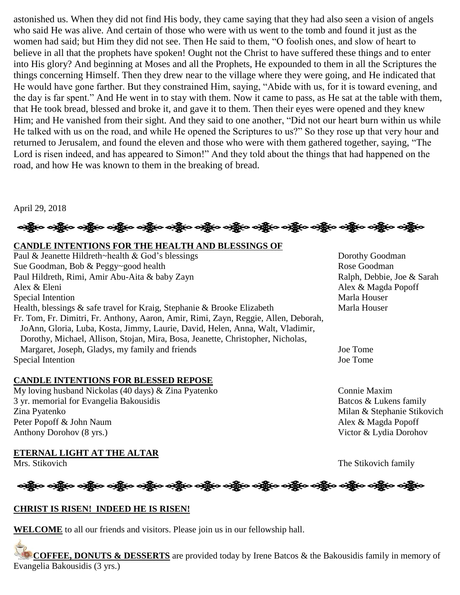astonished us. When they did not find His body, they came saying that they had also seen a vision of angels who said He was alive. And certain of those who were with us went to the tomb and found it just as the women had said; but Him they did not see. Then He said to them, "O foolish ones, and slow of heart to believe in all that the prophets have spoken! Ought not the Christ to have suffered these things and to enter into His glory? And beginning at Moses and all the Prophets, He expounded to them in all the Scriptures the things concerning Himself. Then they drew near to the village where they were going, and He indicated that He would have gone farther. But they constrained Him, saying, "Abide with us, for it is toward evening, and the day is far spent." And He went in to stay with them. Now it came to pass, as He sat at the table with them, that He took bread, blessed and broke it, and gave it to them. Then their eyes were opened and they knew Him; and He vanished from their sight. And they said to one another, "Did not our heart burn within us while He talked with us on the road, and while He opened the Scriptures to us?" So they rose up that very hour and returned to Jerusalem, and found the eleven and those who were with them gathered together, saying, "The Lord is risen indeed, and has appeared to Simon!" And they told about the things that had happened on the road, and how He was known to them in the breaking of bread.

April 29, 2018

# န္း မွန္ပြား မယ္ဆိုးေနရွိပ္ေနရွိပ္ေနရွိပ္ေနရွိပ္ေနရွိပ္ေနရွိပ္ေနရွိပ္ေနရွိပ္ေနရွိပ္ေနရွိပ္ေနရွိပ္ေနရွိပ္ေနရွိ

#### **CANDLE INTENTIONS FOR THE HEALTH AND BLESSINGS OF**

Paul & Jeanette Hildreth~health & God's blessings Dorothy Goodman Sue Goodman, Bob & Peggy~good health Rose Goodman Paul Hildreth, Rimi, Amir Abu-Aita & baby Zayn Ralph, Debbie, Joe & Sarah Alex & Eleni Alex & Magda Popoff Special Intention Marla Houser Health, blessings & safe travel for Kraig, Stephanie & Brooke Elizabeth Marla Houser Fr. Tom, Fr. Dimitri, Fr. Anthony, Aaron, Amir, Rimi, Zayn, Reggie, Allen, Deborah, JoAnn, Gloria, Luba, Kosta, Jimmy, Laurie, David, Helen, Anna, Walt, Vladimir, Dorothy, Michael, Allison, Stojan, Mira, Bosa, Jeanette, Christopher, Nicholas, Margaret, Joseph, Gladys, my family and friends Joe Tome Special Intention Joe Tome

#### **CANDLE INTENTIONS FOR BLESSED REPOSE**

My loving husband Nickolas (40 days) & Zina Pyatenko Connie Maxim 3 yr. memorial for Evangelia Bakousidis Batcos & Lukens family Zina Pyatenko Milan & Stephanie Stikovich Peter Popoff & John Naum Alex & Magda Popoff Anthony Dorohov (8 yrs.) Victor & Lydia Dorohov

#### **ETERNAL LIGHT AT THE ALTAR**

Mrs. Stikovich The Stikovich family

# ခရွို့လ ခရွို့လ ခရွို့လ ခရွို့လ ခရွို့လ ခရွို့လ ခရွို့လ ခရွို့လ ခရွို့လ ခရွို့လ ခရွို့လ ခရွို့လ ခရွို့လ ခရွို့

#### **CHRIST IS RISEN! INDEED HE IS RISEN!**

**WELCOME** to all our friends and visitors. Please join us in our fellowship hall.

**COFFEE, DONUTS & DESSERTS** are provided today by Irene Batcos & the Bakousidis family in memory of Evangelia Bakousidis (3 yrs.)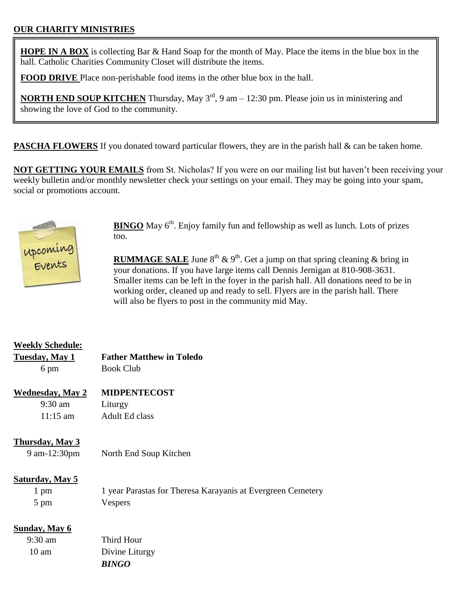#### **OUR CHARITY MINISTRIES**

**HOPE IN A BOX** is collecting Bar & Hand Soap for the month of May. Place the items in the blue box in the hall. Catholic Charities Community Closet will distribute the items.

**FOOD DRIVE** Place non-perishable food items in the other blue box in the hall.

**NORTH END SOUP KITCHEN** Thursday, May 3<sup>rd</sup>, 9 am – 12:30 pm. Please join us in ministering and showing the love of God to the community.

**PASCHA FLOWERS** If you donated toward particular flowers, they are in the parish hall & can be taken home.

**NOT GETTING YOUR EMAILS** from St. Nicholas? If you were on our mailing list but haven't been receiving your weekly bulletin and/or monthly newsletter check your settings on your email. They may be going into your spam, social or promotions account.



**BINGO** May  $6<sup>th</sup>$ . Enjoy family fun and fellowship as well as lunch. Lots of prizes too.

**RUMMAGE SALE** June  $8^{th}$  &  $9^{th}$ . Get a jump on that spring cleaning & bring in your donations. If you have large items call Dennis Jernigan at 810-908-3631. Smaller items can be left in the foyer in the parish hall. All donations need to be in working order, cleaned up and ready to sell. Flyers are in the parish hall. There will also be flyers to post in the community mid May.

Evergreen Cemetery

# **Weekly Schedule:**

| <b>Tuesday, May 1</b>   | <b>Father Matthew in Toledo</b>          |
|-------------------------|------------------------------------------|
| 6 pm                    | <b>Book Club</b>                         |
| <b>Wednesday, May 2</b> | <b>MIDPENTECOST</b>                      |
| $9:30$ am               | Liturgy                                  |
| $11:15 \text{ am}$      | Adult Ed class                           |
| Thursday, May 3         |                                          |
| 9 am-12:30pm            | North End Soup Kitchen                   |
| <b>Saturday, May 5</b>  |                                          |
| 1 pm                    | 1 year Parastas for Theresa Karayanis at |
| 5 pm                    | Vespers                                  |
| <b>Sunday, May 6</b>    |                                          |
| 9:30 am                 | Third Hour                               |
| $10 \text{ am}$         | Divine Liturgy                           |
|                         | <i>BINGO</i>                             |